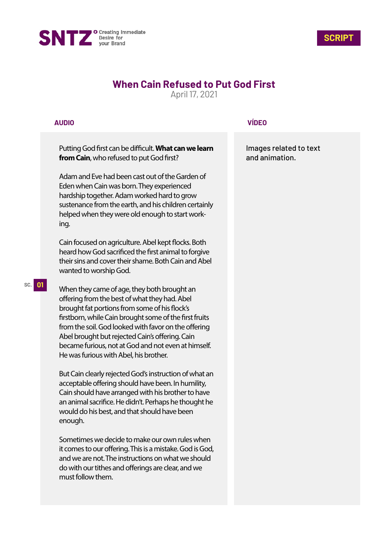



## **When Cain Refused to Put God First**

April 17, 2021

## **AUDIO**

Putting God first can be difficult. What can we learn **from Cain**, who refused to put God first?

Adam and Eve had been cast out of the Garden of Eden when Cain was born. They experienced hardship together. Adam worked hard to grow sustenance from the earth, and his children certainly helped when they were old enough to start working.

Cain focused on agriculture. Abel kept flocks. Both heard how God sacrificed the first animal to forgive their sins and cover their shame. Both Cain and Abel wanted to worship God.

When they came of age, they both brought an offering from the best of what they had. Abel brought fat portions from some of his flock's firstborn, while Cain brought some of the first fruits from the soil. God looked with favor on the offering Abel brought but rejected Cain's offering. Cain became furious, not at God and not even at himself. He was furious with Abel, his brother.

But Cain clearly rejected God's instruction of what an acceptable offering should have been. In humility, Cain should have arranged with his brother to have an animal sacrifice. He didn't. Perhaps he thought he would do his best, and that should have been enough.

Sometimes we decide to make our own rules when it comes to our offering. This is a mistake. God is God, and we are not. The instructions on what we should do with our tithes and offerings are clear, and we must follow them.

## **VÍDEO**

Images related to text and animation.